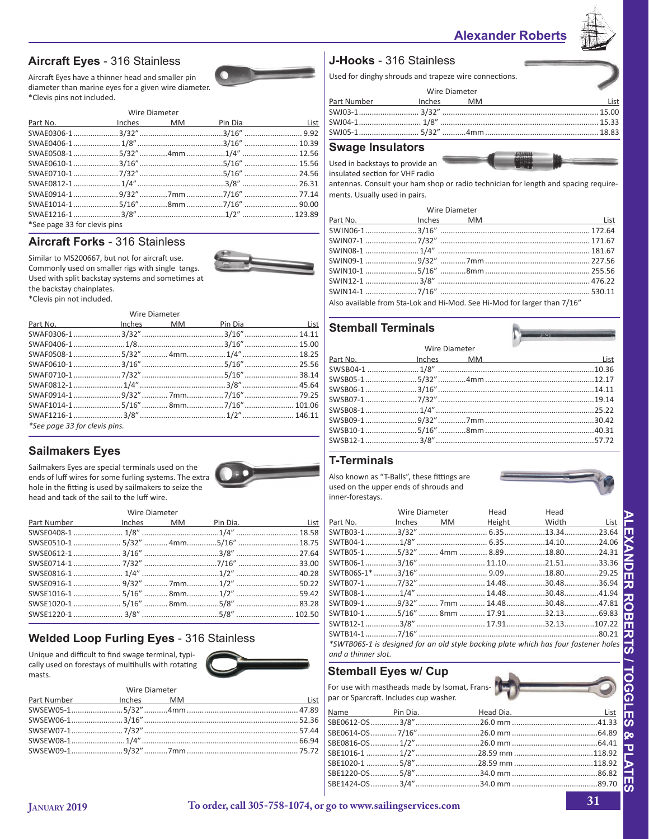## **Alexander Roberts**



## **Aircraft Eyes** - 316 Stainless

Aircraft Eyes have a thinner head and smaller pin diameter than marine eyes for a given wire diameter. \*Clevis pins not included.



|                                       | $\mathbf{v}$ , i.e. Digitive terms of $\mathbf{v}$ |  |  |  |  |  |
|---------------------------------------|----------------------------------------------------|--|--|--|--|--|
| Part No. 5. Inches MM Pin Dia 3. List |                                                    |  |  |  |  |  |
|                                       |                                                    |  |  |  |  |  |
|                                       |                                                    |  |  |  |  |  |
| SWAE0508-15/32"4mm 1/4"  12.56        |                                                    |  |  |  |  |  |
|                                       |                                                    |  |  |  |  |  |
|                                       |                                                    |  |  |  |  |  |
|                                       |                                                    |  |  |  |  |  |
|                                       |                                                    |  |  |  |  |  |
|                                       |                                                    |  |  |  |  |  |
|                                       |                                                    |  |  |  |  |  |
| *See page 33 for clevis pins          |                                                    |  |  |  |  |  |

### **Aircraft Forks** - 316 Stainless



Similar to MS200667, but not for aircraft use. Commonly used on smaller rigs with single tangs. Used with split backstay systems and sometimes at the backstay chainplates. \*Clevis pin not included.

Wire Diameter

| Part No. 5. Inches MM Pin Dia 3. List |  |  |
|---------------------------------------|--|--|
|                                       |  |  |
|                                       |  |  |
|                                       |  |  |
|                                       |  |  |
|                                       |  |  |
|                                       |  |  |
|                                       |  |  |
|                                       |  |  |
|                                       |  |  |
| *See page 33 for clevis pins.         |  |  |

## **Sailmakers Eyes**

Sailmakers Eyes are special terminals used on the ends of luff wires for some furling systems. The extra hole in the fitting is used by sailmakers to seize the head and tack of the sail to the luff wire.

### Wire Diameter

## **Welded Loop Furling Eyes** - 316 Stainless

Unique and difficult to find swage terminal, typically used on forestays of multihulls with rotating masts.



|  | Part Number 10 Inches MM |
|--|--------------------------|
|  |                          |
|  |                          |
|  |                          |
|  |                          |
|  |                          |

### **J-Hooks** - 316 Stainless

Used for dinghy shrouds and trapeze wire connections.

| Wire Diameter |                                                |
|---------------|------------------------------------------------|
|               | Part Number <b>No. 1988 Inches</b> MM<br>l ist |
|               |                                                |
|               |                                                |
|               |                                                |

### **Swage Insulators**

Used in backstays to provide an

insulated section for VHF radio

antennas. Consult your ham shop or radio technician for length and spacing requirements. Usually used in pairs.

### Wire Diameter

Also available from Sta-Lok and Hi-Mod. See Hi-Mod for larger than 7/16"

### **Stemball Terminals**

| Wire Diameter |  |
|---------------|--|
|               |  |
|               |  |
|               |  |
|               |  |
|               |  |
|               |  |
|               |  |
|               |  |
|               |  |
|               |  |

## **T-Terminals**

Also known as "T-Balls", these fittings are used on the upper ends of shrouds and inner-forestays.

|                     | Wire Diameter | Head | Head                                                                                |  |
|---------------------|---------------|------|-------------------------------------------------------------------------------------|--|
|                     |               |      | Part No. Inches MM Height Width List                                                |  |
|                     |               |      |                                                                                     |  |
|                     |               |      |                                                                                     |  |
|                     |               |      |                                                                                     |  |
|                     |               |      |                                                                                     |  |
|                     |               |      |                                                                                     |  |
|                     |               |      |                                                                                     |  |
|                     |               |      |                                                                                     |  |
|                     |               |      |                                                                                     |  |
|                     |               |      |                                                                                     |  |
|                     |               |      |                                                                                     |  |
|                     |               |      |                                                                                     |  |
|                     |               |      | *SWTB06S-1 is designed for an old style backing plate which has four fastener holes |  |
| and a thinner slot. |               |      |                                                                                     |  |

## **Stemball Eyes w/ Cup**

For use with mastheads made by Isomat, Franspar or Sparcraft. Includes cup washer.

|  | Name Pin Dia. Head Dia. Head Dia. List |  |
|--|----------------------------------------|--|
|  |                                        |  |
|  |                                        |  |
|  |                                        |  |
|  |                                        |  |
|  |                                        |  |
|  |                                        |  |
|  |                                        |  |
|  |                                        |  |